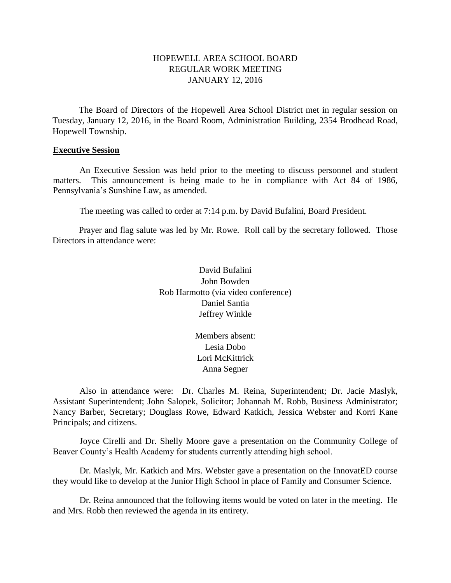# HOPEWELL AREA SCHOOL BOARD REGULAR WORK MEETING JANUARY 12, 2016

The Board of Directors of the Hopewell Area School District met in regular session on Tuesday, January 12, 2016, in the Board Room, Administration Building, 2354 Brodhead Road, Hopewell Township.

#### **Executive Session**

An Executive Session was held prior to the meeting to discuss personnel and student matters. This announcement is being made to be in compliance with Act 84 of 1986, Pennsylvania's Sunshine Law, as amended.

The meeting was called to order at 7:14 p.m. by David Bufalini, Board President.

Prayer and flag salute was led by Mr. Rowe. Roll call by the secretary followed. Those Directors in attendance were:

> David Bufalini John Bowden Rob Harmotto (via video conference) Daniel Santia Jeffrey Winkle

> > Members absent: Lesia Dobo Lori McKittrick Anna Segner

Also in attendance were: Dr. Charles M. Reina, Superintendent; Dr. Jacie Maslyk, Assistant Superintendent; John Salopek, Solicitor; Johannah M. Robb, Business Administrator; Nancy Barber, Secretary; Douglass Rowe, Edward Katkich, Jessica Webster and Korri Kane Principals; and citizens.

Joyce Cirelli and Dr. Shelly Moore gave a presentation on the Community College of Beaver County's Health Academy for students currently attending high school.

Dr. Maslyk, Mr. Katkich and Mrs. Webster gave a presentation on the InnovatED course they would like to develop at the Junior High School in place of Family and Consumer Science.

Dr. Reina announced that the following items would be voted on later in the meeting. He and Mrs. Robb then reviewed the agenda in its entirety.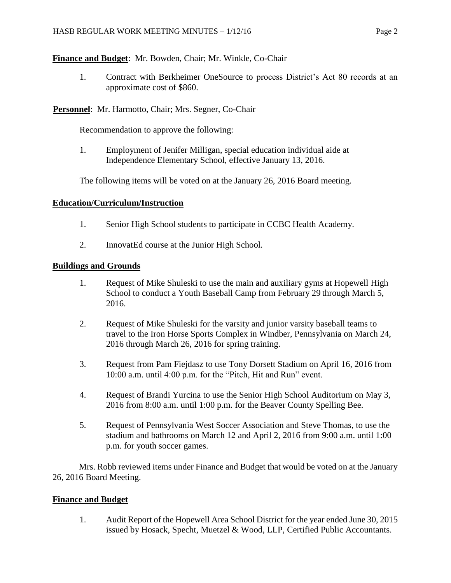# **Finance and Budget**: Mr. Bowden, Chair; Mr. Winkle, Co-Chair

1. Contract with Berkheimer OneSource to process District's Act 80 records at an approximate cost of \$860.

**Personnel**: Mr. Harmotto, Chair; Mrs. Segner, Co-Chair

Recommendation to approve the following:

1. Employment of Jenifer Milligan, special education individual aide at Independence Elementary School, effective January 13, 2016.

The following items will be voted on at the January 26, 2016 Board meeting.

# **Education/Curriculum/Instruction**

- 1. Senior High School students to participate in CCBC Health Academy.
- 2. InnovatEd course at the Junior High School.

# **Buildings and Grounds**

- 1. Request of Mike Shuleski to use the main and auxiliary gyms at Hopewell High School to conduct a Youth Baseball Camp from February 29 through March 5, 2016.
- 2. Request of Mike Shuleski for the varsity and junior varsity baseball teams to travel to the Iron Horse Sports Complex in Windber, Pennsylvania on March 24, 2016 through March 26, 2016 for spring training.
- 3. Request from Pam Fiejdasz to use Tony Dorsett Stadium on April 16, 2016 from 10:00 a.m. until 4:00 p.m. for the "Pitch, Hit and Run" event.
- 4. Request of Brandi Yurcina to use the Senior High School Auditorium on May 3, 2016 from 8:00 a.m. until 1:00 p.m. for the Beaver County Spelling Bee.
- 5. Request of Pennsylvania West Soccer Association and Steve Thomas, to use the stadium and bathrooms on March 12 and April 2, 2016 from 9:00 a.m. until 1:00 p.m. for youth soccer games.

Mrs. Robb reviewed items under Finance and Budget that would be voted on at the January 26, 2016 Board Meeting.

# **Finance and Budget**

1. Audit Report of the Hopewell Area School District for the year ended June 30, 2015 issued by Hosack, Specht, Muetzel & Wood, LLP, Certified Public Accountants.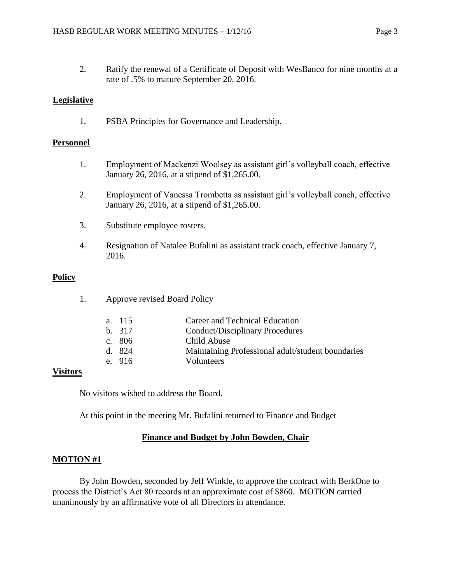2. Ratify the renewal of a Certificate of Deposit with WesBanco for nine months at a rate of .5% to mature September 20, 2016.

# **Legislative**

1. PSBA Principles for Governance and Leadership.

## **Personnel**

- 1. Employment of Mackenzi Woolsey as assistant girl's volleyball coach, effective January 26, 2016, at a stipend of \$1,265.00.
- 2. Employment of Vanessa Trombetta as assistant girl's volleyball coach, effective January 26, 2016, at a stipend of \$1,265.00.
- 3. Substitute employee rosters.
- 4. Resignation of Natalee Bufalini as assistant track coach, effective January 7, 2016.

#### **Policy**

| <b>Approve revised Board Policy</b><br>1. |
|-------------------------------------------|
|-------------------------------------------|

| a. 115 | Career and Technical Education                    |
|--------|---------------------------------------------------|
| b. 317 | <b>Conduct/Disciplinary Procedures</b>            |
| c. 806 | Child Abuse                                       |
| d. 824 | Maintaining Professional adult/student boundaries |
| e. 916 | <b>Volunteers</b>                                 |
|        |                                                   |

## **Visitors**

No visitors wished to address the Board.

At this point in the meeting Mr. Bufalini returned to Finance and Budget

## **Finance and Budget by John Bowden, Chair**

## **MOTION #1**

By John Bowden, seconded by Jeff Winkle, to approve the contract with BerkOne to process the District's Act 80 records at an approximate cost of \$860. MOTION carried unanimously by an affirmative vote of all Directors in attendance.